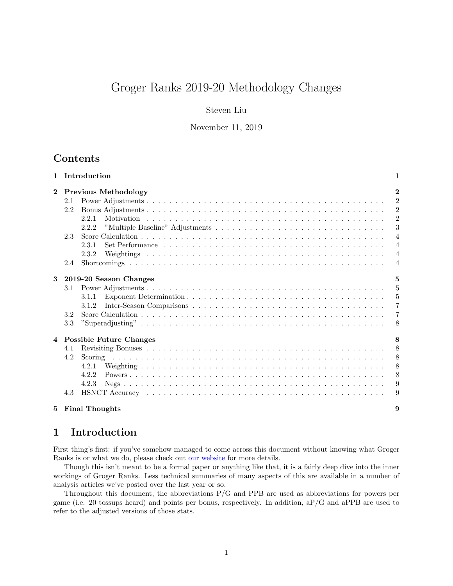# Groger Ranks 2019-20 Methodology Changes

## Steven Liu

November 11, 2019

# Contents

|              |     | 1 Introduction<br>1            |                |  |  |  |  |  |
|--------------|-----|--------------------------------|----------------|--|--|--|--|--|
| $\mathbf{2}$ |     | <b>Previous Methodology</b>    | $\overline{2}$ |  |  |  |  |  |
|              | 2.1 |                                | $\overline{2}$ |  |  |  |  |  |
|              | 2.2 |                                | $\overline{2}$ |  |  |  |  |  |
|              |     | 2.2.1                          | $\overline{2}$ |  |  |  |  |  |
|              |     | 2.2.2                          | 3              |  |  |  |  |  |
|              | 2.3 |                                | $\overline{4}$ |  |  |  |  |  |
|              |     | 2.3.1                          | $\overline{4}$ |  |  |  |  |  |
|              |     | 2.3.2                          | $\overline{4}$ |  |  |  |  |  |
|              | 2.4 |                                | $\overline{4}$ |  |  |  |  |  |
| 3            |     | 5<br>2019-20 Season Changes    |                |  |  |  |  |  |
|              | 3.1 |                                | 5              |  |  |  |  |  |
|              |     | 3.1.1                          | $\overline{5}$ |  |  |  |  |  |
|              |     | 3.1.2                          | $\overline{7}$ |  |  |  |  |  |
|              | 3.2 |                                | $\overline{7}$ |  |  |  |  |  |
|              | 3.3 |                                | 8              |  |  |  |  |  |
| 4            |     | <b>Possible Future Changes</b> | 8              |  |  |  |  |  |
|              | 4.1 |                                | 8              |  |  |  |  |  |
|              | 4.2 |                                | 8              |  |  |  |  |  |
|              |     | 4.2.1                          | 8              |  |  |  |  |  |
|              |     | 4.2.2                          | 8              |  |  |  |  |  |
|              |     | 4.2.3                          | 9              |  |  |  |  |  |
|              | 4.3 |                                | 9              |  |  |  |  |  |
| 5.           |     | <b>Final Thoughts</b>          | 9              |  |  |  |  |  |

# <span id="page-0-0"></span>1 Introduction

First thing's first: if you've somehow managed to come across this document without knowing what Groger Ranks is or what we do, please check out [our website](https://grogerranks.com/) for more details.

Though this isn't meant to be a formal paper or anything like that, it is a fairly deep dive into the inner workings of Groger Ranks. Less technical summaries of many aspects of this are available in a number of analysis articles we've posted over the last year or so.

Throughout this document, the abbreviations P/G and PPB are used as abbreviations for powers per game (i.e. 20 tossups heard) and points per bonus, respectively. In addition, aP/G and aPPB are used to refer to the adjusted versions of those stats.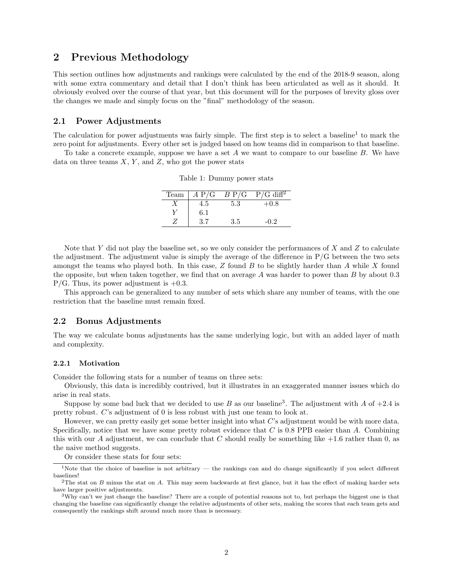## <span id="page-1-0"></span>2 Previous Methodology

This section outlines how adjustments and rankings were calculated by the end of the 2018-9 season, along with some extra commentary and detail that I don't think has been articulated as well as it should. It obviously evolved over the course of that year, but this document will for the purposes of brevity gloss over the changes we made and simply focus on the "final" methodology of the season.

### <span id="page-1-1"></span>2.1 Power Adjustments

The calculation for power adjustments was fairly simple. The first step is to select a baseline<sup>[1](#page-1-4)</sup> to mark the zero point for adjustments. Every other set is judged based on how teams did in comparison to that baseline.

To take a concrete example, suppose we have a set  $A$  we want to compare to our baseline  $B$ . We have data on three teams  $X, Y$ , and  $Z$ , who got the power stats

| Team | A P/G | B P/G | $P/G$ diff <sup>2</sup> |
|------|-------|-------|-------------------------|
|      | 4.5   | 5.3   | $+0.8$                  |
|      | 6.1   |       |                         |
|      | 37    | 3.5   | -0.2                    |

Table 1: Dummy power stats

Note that Y did not play the baseline set, so we only consider the performances of X and Z to calculate the adjustment. The adjustment value is simply the average of the difference in  $P/G$  between the two sets amongst the teams who played both. In this case,  $Z$  found  $B$  to be slightly harder than  $A$  while  $X$  found the opposite, but when taken together, we find that on average A was harder to power than B by about 0.3  $P/G$ . Thus, its power adjustment is  $+0.3$ .

This approach can be generalized to any number of sets which share any number of teams, with the one restriction that the baseline must remain fixed.

### <span id="page-1-2"></span>2.2 Bonus Adjustments

The way we calculate bonus adjustments has the same underlying logic, but with an added layer of math and complexity.

#### <span id="page-1-3"></span>2.2.1 Motivation

Consider the following stats for a number of teams on three sets:

Obviously, this data is incredibly contrived, but it illustrates in an exaggerated manner issues which do arise in real stats.

Suppose by some bad luck that we decided to use B as our baseline<sup>[3](#page-1-6)</sup>. The adjustment with A of  $+2.4$  is pretty robust. C's adjustment of 0 is less robust with just one team to look at.

However, we can pretty easily get some better insight into what C's adjustment would be with more data. Specifically, notice that we have some pretty robust evidence that C is 0.8 PPB easier than A. Combining this with our A adjustment, we can conclude that C should really be something like  $+1.6$  rather than 0, as the naive method suggests.

<span id="page-1-4"></span>Or consider these stats for four sets:

<sup>&</sup>lt;sup>1</sup>Note that the choice of baseline is not arbitrary — the rankings can and do change significantly if you select different baselines!

<span id="page-1-5"></span><sup>&</sup>lt;sup>2</sup>The stat on B minus the stat on A. This may seem backwards at first glance, but it has the effect of making harder sets have larger positive adjustments.

<span id="page-1-6"></span> $3W$ hy can't we just change the baseline? There are a couple of potential reasons not to, but perhaps the biggest one is that changing the baseline can significantly change the relative adjustments of other sets, making the scores that each team gets and consequently the rankings shift around much more than is necessary.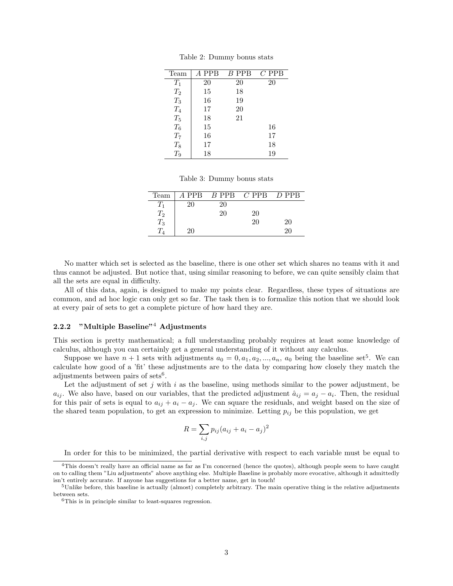| Team  | A PPB | $B$ PPB | $C$ PPB |
|-------|-------|---------|---------|
| $T_1$ | 20    | 20      | 20      |
| $T_2$ | 15    | 18      |         |
| $T_3$ | 16    | 19      |         |
| $T_4$ | 17    | 20      |         |
| $T_5$ | 18    | 21      |         |
| $T_6$ | 15    |         | 16      |
| $T_7$ | 16    |         | 17      |
| $T_8$ | 17    |         | 18      |
| $T_9$ | 18    |         | 19      |

Table 2: Dummy bonus stats

Table 3: Dummy bonus stats

| Team               |    |    | $A$ PPB $B$ PPB $C$ PPB $D$ PPB |    |
|--------------------|----|----|---------------------------------|----|
|                    | 20 | 20 |                                 |    |
| $\scriptstyle T_2$ |    | 20 | 20                              |    |
| $\scriptstyle T_3$ |    |    | 20                              | 20 |
|                    | 20 |    |                                 | 20 |

No matter which set is selected as the baseline, there is one other set which shares no teams with it and thus cannot be adjusted. But notice that, using similar reasoning to before, we can quite sensibly claim that all the sets are equal in difficulty.

All of this data, again, is designed to make my points clear. Regardless, these types of situations are common, and ad hoc logic can only get so far. The task then is to formalize this notion that we should look at every pair of sets to get a complete picture of how hard they are.

### <span id="page-2-0"></span>2.2.2 "Multiple Baseline"[4](#page-2-1) Adjustments

This section is pretty mathematical; a full understanding probably requires at least some knowledge of calculus, although you can certainly get a general understanding of it without any calculus.

Suppose we have  $n+1$  sets with adjustments  $a_0 = 0, a_1, a_2, ..., a_n, a_0$  being the baseline set<sup>[5](#page-2-2)</sup>. We can calculate how good of a 'fit' these adjustments are to the data by comparing how closely they match the adjustments between pairs of sets<sup>[6](#page-2-3)</sup>.

Let the adjustment of set  $j$  with  $i$  as the baseline, using methods similar to the power adjustment, be  $a_{ij}$ . We also have, based on our variables, that the predicted adjustment  $\hat{a}_{ij} = a_j - a_i$ . Then, the residual for this pair of sets is equal to  $a_{ij} + a_i - a_j$ . We can square the residuals, and weight based on the size of the shared team population, to get an expression to minimize. Letting  $p_{ij}$  be this population, we get

$$
R = \sum_{i,j} p_{ij} (a_{ij} + a_i - a_j)^2
$$

<span id="page-2-1"></span>In order for this to be minimized, the partial derivative with respect to each variable must be equal to

<sup>4</sup>This doesn't really have an official name as far as I'm concerned (hence the quotes), although people seem to have caught on to calling them "Liu adjustments" above anything else. Multiple Baseline is probably more evocative, although it admittedly isn't entirely accurate. If anyone has suggestions for a better name, get in touch!

<span id="page-2-2"></span><sup>5</sup>Unlike before, this baseline is actually (almost) completely arbitrary. The main operative thing is the relative adjustments between sets.

<span id="page-2-3"></span><sup>6</sup>This is in principle similar to least-squares regression.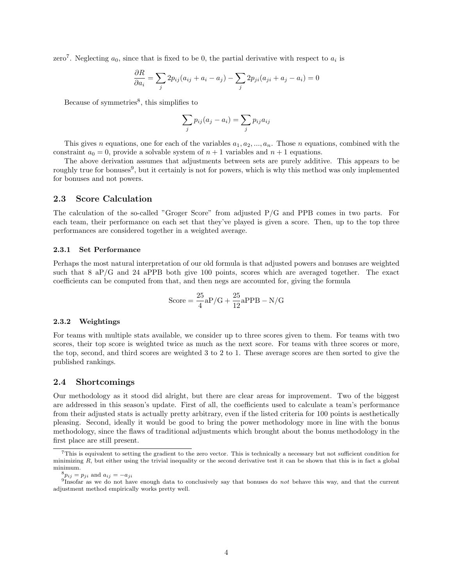zero<sup>[7](#page-3-4)</sup>. Neglecting  $a_0$ , since that is fixed to be 0, the partial derivative with respect to  $a_i$  is

$$
\frac{\partial R}{\partial a_i} = \sum_j 2p_{ij}(a_{ij} + a_i - a_j) - \sum_j 2p_{ji}(a_{ji} + a_j - a_i) = 0
$$

Because of symmetries<sup>[8](#page-3-5)</sup>, this simplifies to

$$
\sum_j p_{ij}(a_j - a_i) = \sum_j p_{ij} a_{ij}
$$

This gives n equations, one for each of the variables  $a_1, a_2, ..., a_n$ . Those n equations, combined with the constraint  $a_0 = 0$ , provide a solvable system of  $n + 1$  variables and  $n + 1$  equations.

The above derivation assumes that adjustments between sets are purely additive. This appears to be roughly true for bonuses<sup>[9](#page-3-6)</sup>, but it certainly is not for powers, which is why this method was only implemented for bonuses and not powers.

### <span id="page-3-0"></span>2.3 Score Calculation

The calculation of the so-called "Groger Score" from adjusted P/G and PPB comes in two parts. For each team, their performance on each set that they've played is given a score. Then, up to the top three performances are considered together in a weighted average.

#### <span id="page-3-1"></span>2.3.1 Set Performance

Perhaps the most natural interpretation of our old formula is that adjusted powers and bonuses are weighted such that  $8 \text{ aP/G}$  and  $24 \text{ aPPB}$  both give 100 points, scores which are averaged together. The exact coefficients can be computed from that, and then negs are accounted for, giving the formula

$$
Score = \frac{25}{4}aP/G + \frac{25}{12}aPPB - N/G
$$

#### <span id="page-3-2"></span>2.3.2 Weightings

For teams with multiple stats available, we consider up to three scores given to them. For teams with two scores, their top score is weighted twice as much as the next score. For teams with three scores or more, the top, second, and third scores are weighted 3 to 2 to 1. These average scores are then sorted to give the published rankings.

### <span id="page-3-3"></span>2.4 Shortcomings

Our methodology as it stood did alright, but there are clear areas for improvement. Two of the biggest are addressed in this season's update. First of all, the coefficients used to calculate a team's performance from their adjusted stats is actually pretty arbitrary, even if the listed criteria for 100 points is aesthetically pleasing. Second, ideally it would be good to bring the power methodology more in line with the bonus methodology, since the flaws of traditional adjustments which brought about the bonus methodology in the first place are still present.

<span id="page-3-4"></span><sup>7</sup>This is equivalent to setting the gradient to the zero vector. This is technically a necessary but not sufficient condition for minimizing  $R$ , but either using the trivial inequality or the second derivative test it can be shown that this is in fact a global minimum.

<span id="page-3-6"></span><span id="page-3-5"></span> ${}^8p_{ij} = p_{ji}$  and  $a_{ij} = -a_{ji}$ 

<sup>9</sup> Insofar as we do not have enough data to conclusively say that bonuses do not behave this way, and that the current adjustment method empirically works pretty well.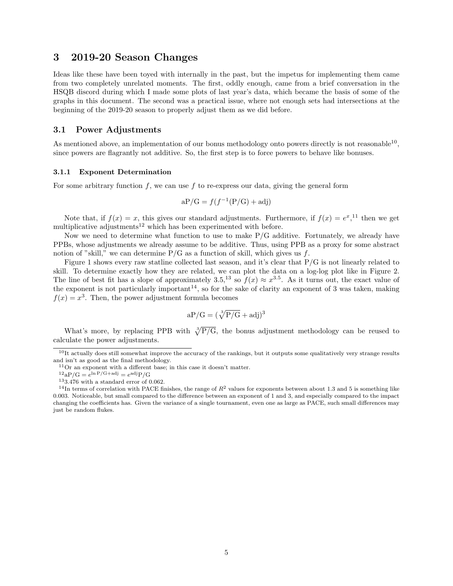## <span id="page-4-0"></span>3 2019-20 Season Changes

Ideas like these have been toyed with internally in the past, but the impetus for implementing them came from two completely unrelated moments. The first, oddly enough, came from a brief conversation in the HSQB discord during which I made some plots of last year's data, which became the basis of some of the graphs in this document. The second was a practical issue, where not enough sets had intersections at the beginning of the 2019-20 season to properly adjust them as we did before.

### <span id="page-4-1"></span>3.1 Power Adjustments

As mentioned above, an implementation of our bonus methodology onto powers directly is not reasonable  $^{10}$  $^{10}$  $^{10}$ , since powers are flagrantly not additive. So, the first step is to force powers to behave like bonuses.

#### <span id="page-4-2"></span>3.1.1 Exponent Determination

For some arbitrary function f, we can use f to re-express our data, giving the general form

$$
aP/G = f(f^{-1}(P/G) + adj)
$$

Note that, if  $f(x) = x$ , this gives our standard adjustments. Furthermore, if  $f(x) = e^x$ , <sup>[11](#page-4-4)</sup> then we get multiplicative adjustments<sup>[12](#page-4-5)</sup> which has been experimented with before.

Now we need to determine what function to use to make  $P/G$  additive. Fortunately, we already have PPBs, whose adjustments we already assume to be additive. Thus, using PPB as a proxy for some abstract notion of "skill," we can determine  $P/G$  as a function of skill, which gives us f.

Figure [1](#page-5-0) shows every raw statline collected last season, and it's clear that P/G is not linearly related to skill. To determine exactly how they are related, we can plot the data on a log-log plot like in Figure [2.](#page-5-1) The line of best fit has a slope of approximately 3.5,<sup>[13](#page-4-6)</sup> so  $f(x) \approx x^{3.5}$ . As it turns out, the exact value of the exponent is not particularly important<sup>[14](#page-4-7)</sup>, so for the sake of clarity an exponent of 3 was taken, making  $f(x) = x<sup>3</sup>$ . Then, the power adjustment formula becomes

$$
aP/G=(\sqrt[3]{P/G}+adj)^3
$$

What's more, by replacing PPB with  $\sqrt[3]{P/G}$ , the bonus adjustment methodology can be reused to calculate the power adjustments.

<span id="page-4-7"></span><span id="page-4-6"></span> $133.476$  with a standard error of 0.062.

<span id="page-4-3"></span> $10$ It actually does still somewhat improve the accuracy of the rankings, but it outputs some qualitatively very strange results and isn't as good as the final methodology.

<span id="page-4-4"></span><sup>11</sup>Or an exponent with a different base; in this case it doesn't matter.

<span id="page-4-5"></span> $12aP/G = e^{\ln P/G + adj} = e^{adj}P/G$ 

<sup>&</sup>lt;sup>14</sup>In terms of correlation with PACE finishes, the range of  $R^2$  values for exponents between about 1.3 and 5 is something like 0.003. Noticeable, but small compared to the difference between an exponent of 1 and 3, and especially compared to the impact changing the coefficients has. Given the variance of a single tournament, even one as large as PACE, such small differences may just be random flukes.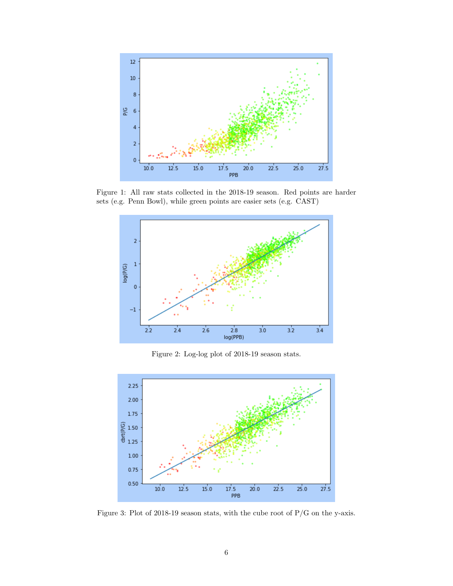<span id="page-5-0"></span>

<span id="page-5-1"></span>Figure 1: All raw stats collected in the 2018-19 season. Red points are harder sets (e.g. Penn Bowl), while green points are easier sets (e.g. CAST)



Figure 2: Log-log plot of 2018-19 season stats.



Figure 3: Plot of 2018-19 season stats, with the cube root of P/G on the y-axis.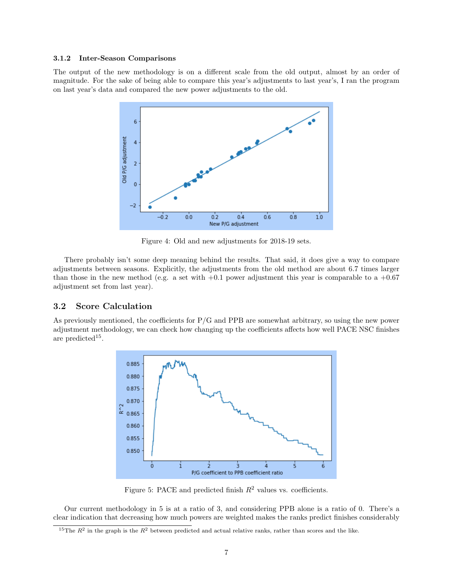#### <span id="page-6-0"></span>3.1.2 Inter-Season Comparisons

The output of the new methodology is on a different scale from the old output, almost by an order of magnitude. For the sake of being able to compare this year's adjustments to last year's, I ran the program on last year's data and compared the new power adjustments to the old.



Figure 4: Old and new adjustments for 2018-19 sets.

There probably isn't some deep meaning behind the results. That said, it does give a way to compare adjustments between seasons. Explicitly, the adjustments from the old method are about 6.7 times larger than those in the new method (e.g. a set with  $+0.1$  power adjustment this year is comparable to a  $+0.67$ ) adjustment set from last year).

### <span id="page-6-1"></span>3.2 Score Calculation

<span id="page-6-3"></span>As previously mentioned, the coefficients for  $P/G$  and  $PPB$  are somewhat arbitrary, so using the new power adjustment methodology, we can check how changing up the coefficients affects how well PACE NSC finishes are predicted<sup>[15](#page-6-2)</sup>.



Figure 5: PACE and predicted finish  $R^2$  values vs. coefficients.

Our current methodology in [5](#page-6-3) is at a ratio of 3, and considering PPB alone is a ratio of 0. There's a clear indication that decreasing how much powers are weighted makes the ranks predict finishes considerably

<span id="page-6-2"></span><sup>&</sup>lt;sup>15</sup>The  $R^2$  in the graph is the  $R^2$  between predicted and actual relative ranks, rather than scores and the like.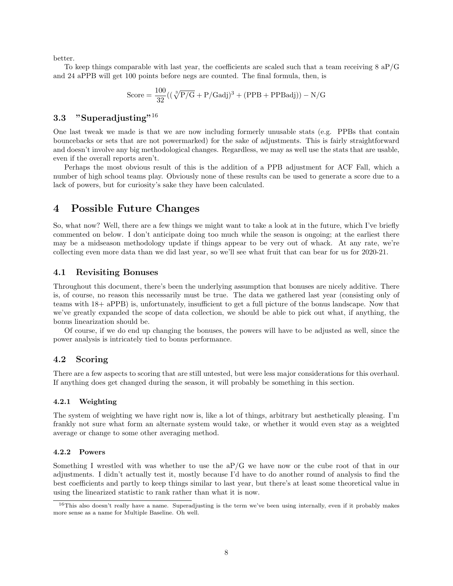better.

To keep things comparable with last year, the coefficients are scaled such that a team receiving  $8 \text{ aP/G}$ and 24 aPPB will get 100 points before negs are counted. The final formula, then, is

$$
Score = \frac{100}{32}((\sqrt[3]{P/G} + P/Gadj)^3 + (PPB + PPBadj)) - N/G
$$

### <span id="page-7-0"></span>3.3 "Superadjusting"[16](#page-7-6)

One last tweak we made is that we are now including formerly unusable stats (e.g. PPBs that contain bouncebacks or sets that are not powermarked) for the sake of adjustments. This is fairly straightforward and doesn't involve any big methodological changes. Regardless, we may as well use the stats that are usable, even if the overall reports aren't.

Perhaps the most obvious result of this is the addition of a PPB adjustment for ACF Fall, which a number of high school teams play. Obviously none of these results can be used to generate a score due to a lack of powers, but for curiosity's sake they have been calculated.

## <span id="page-7-1"></span>4 Possible Future Changes

So, what now? Well, there are a few things we might want to take a look at in the future, which I've briefly commented on below. I don't anticipate doing too much while the season is ongoing; at the earliest there may be a midseason methodology update if things appear to be very out of whack. At any rate, we're collecting even more data than we did last year, so we'll see what fruit that can bear for us for 2020-21.

### <span id="page-7-2"></span>4.1 Revisiting Bonuses

Throughout this document, there's been the underlying assumption that bonuses are nicely additive. There is, of course, no reason this necessarily must be true. The data we gathered last year (consisting only of teams with 18+ aPPB) is, unfortunately, insufficient to get a full picture of the bonus landscape. Now that we've greatly expanded the scope of data collection, we should be able to pick out what, if anything, the bonus linearization should be.

Of course, if we do end up changing the bonuses, the powers will have to be adjusted as well, since the power analysis is intricately tied to bonus performance.

### <span id="page-7-3"></span>4.2 Scoring

There are a few aspects to scoring that are still untested, but were less major considerations for this overhaul. If anything does get changed during the season, it will probably be something in this section.

### <span id="page-7-4"></span>4.2.1 Weighting

The system of weighting we have right now is, like a lot of things, arbitrary but aesthetically pleasing. I'm frankly not sure what form an alternate system would take, or whether it would even stay as a weighted average or change to some other averaging method.

#### <span id="page-7-5"></span>4.2.2 Powers

Something I wrestled with was whether to use the  $aP/G$  we have now or the cube root of that in our adjustments. I didn't actually test it, mostly because I'd have to do another round of analysis to find the best coefficients and partly to keep things similar to last year, but there's at least some theoretical value in using the linearized statistic to rank rather than what it is now.

<span id="page-7-6"></span> $16$ This also doesn't really have a name. Superadjusting is the term we've been using internally, even if it probably makes more sense as a name for Multiple Baseline. Oh well.